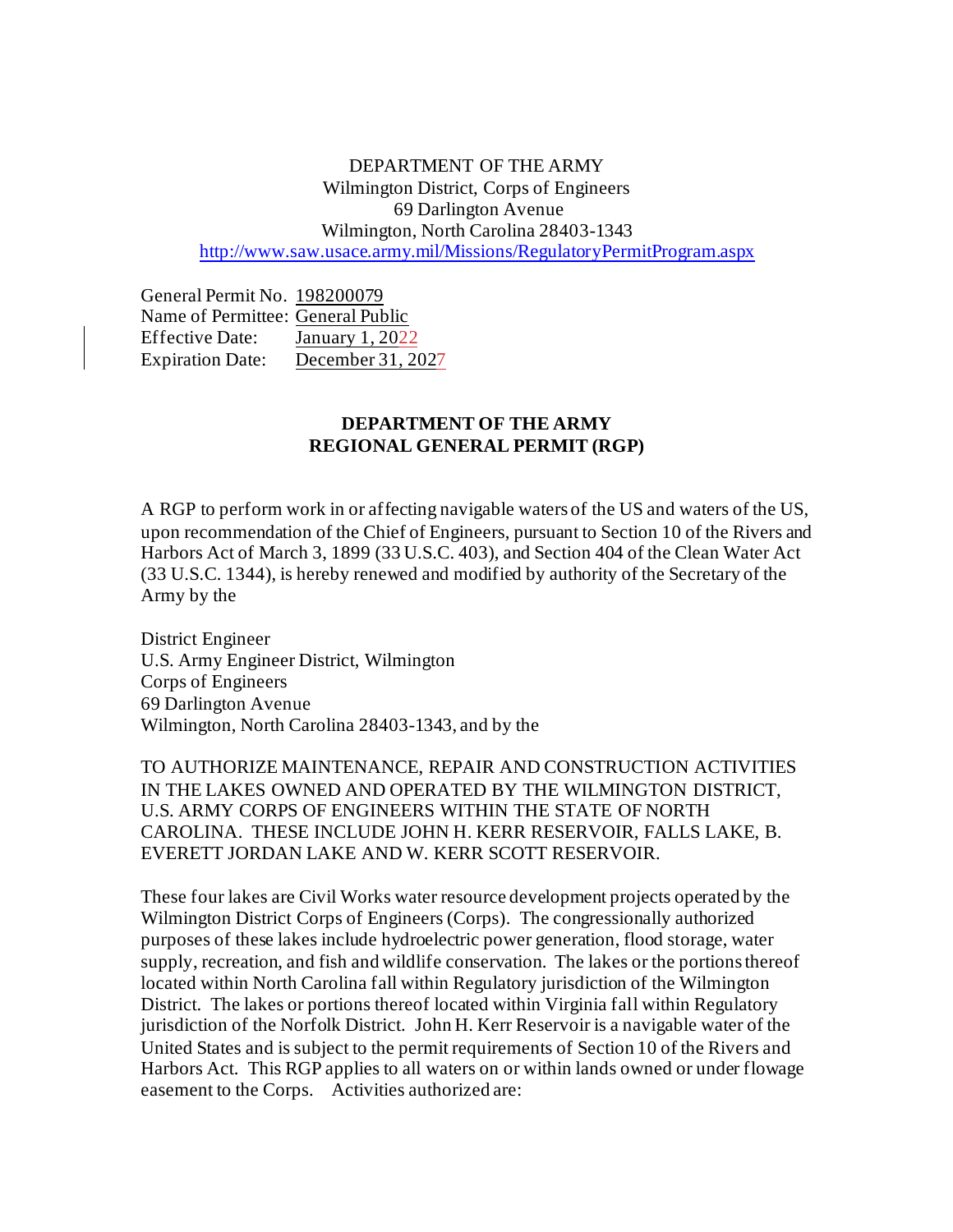DEPARTMENT OF THE ARMY Wilmington District, Corps of Engineers 69 Darlington Avenue Wilmington, North Carolina 28403-1343 <http://www.saw.usace.army.mil/Missions/RegulatoryPermitProgram.aspx>

General Permit No. 198200079 Name of Permittee: General Public Effective Date: January 1, 2022 Expiration Date: December 31, 2027

# **DEPARTMENT OF THE ARMY REGIONAL GENERAL PERMIT (RGP)**

A RGP to perform work in or affecting navigable waters of the US and waters of the US, upon recommendation of the Chief of Engineers, pursuant to Section 10 of the Rivers and Harbors Act of March 3, 1899 (33 U.S.C. 403), and Section 404 of the Clean Water Act (33 U.S.C. 1344), is hereby renewed and modified by authority of the Secretary of the Army by the

District Engineer U.S. Army Engineer District, Wilmington Corps of Engineers 69 Darlington Avenue Wilmington, North Carolina 28403-1343, and by the

TO AUTHORIZE MAINTENANCE, REPAIR AND CONSTRUCTION ACTIVITIES IN THE LAKES OWNED AND OPERATED BY THE WILMINGTON DISTRICT, U.S. ARMY CORPS OF ENGINEERS WITHIN THE STATE OF NORTH CAROLINA. THESE INCLUDE JOHN H. KERR RESERVOIR, FALLS LAKE, B. EVERETT JORDAN LAKE AND W. KERR SCOTT RESERVOIR.

These four lakes are Civil Works water resource development projects operated by the Wilmington District Corps of Engineers (Corps). The congressionally authorized purposes of these lakes include hydroelectric power generation, flood storage, water supply, recreation, and fish and wildlife conservation. The lakes or the portions thereof located within North Carolina fall within Regulatory jurisdiction of the Wilmington District. The lakes or portions thereof located within Virginia fall within Regulatory jurisdiction of the Norfolk District. John H. Kerr Reservoir is a navigable water of the United States and is subject to the permit requirements of Section 10 of the Rivers and Harbors Act. This RGP applies to all waters on or within lands owned or under flowage easement to the Corps. Activities authorized are: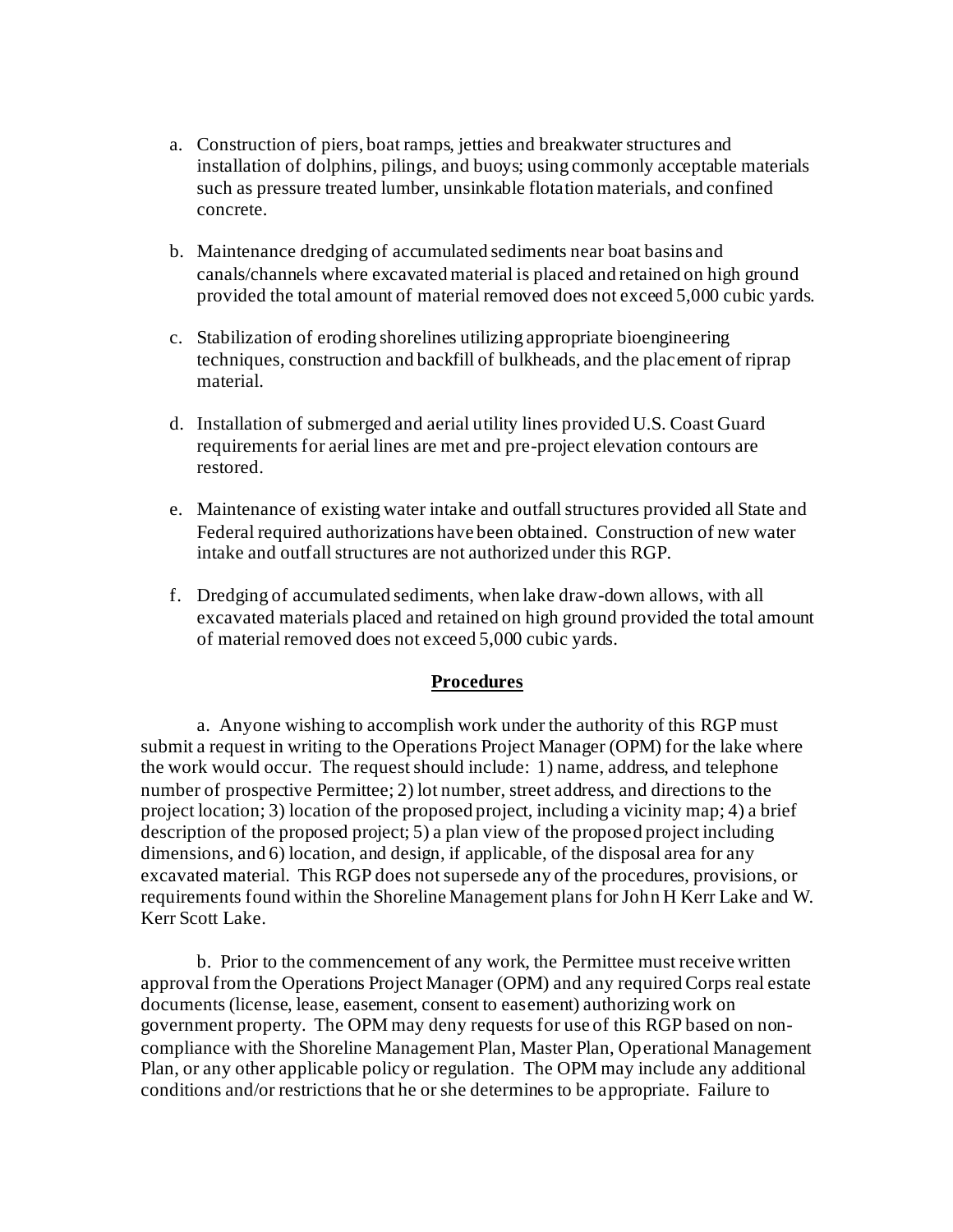- a. Construction of piers, boat ramps, jetties and breakwater structures and installation of dolphins, pilings, and buoys; using commonly acceptable materials such as pressure treated lumber, unsinkable flotation materials, and confined concrete.
- b. Maintenance dredging of accumulated sediments near boat basins and canals/channels where excavated material is placed and retained on high ground provided the total amount of material removed does not exceed 5,000 cubic yards.
- c. Stabilization of eroding shorelines utilizing appropriate bioengineering techniques, construction and backfill of bulkheads, and the placement of riprap material.
- d. Installation of submerged and aerial utility lines provided U.S. Coast Guard requirements for aerial lines are met and pre-project elevation contours are restored.
- e. Maintenance of existing water intake and outfall structures provided all State and Federal required authorizations have been obtained. Construction of new water intake and outfall structures are not authorized under this RGP.
- f. Dredging of accumulated sediments, when lake draw-down allows, with all excavated materials placed and retained on high ground provided the total amount of material removed does not exceed 5,000 cubic yards.

# **Procedures**

a. Anyone wishing to accomplish work under the authority of this RGP must submit a request in writing to the Operations Project Manager (OPM) for the lake where the work would occur. The request should include: 1) name, address, and telephone number of prospective Permittee; 2) lot number, street address, and directions to the project location; 3) location of the proposed project, including a vicinity map; 4) a brief description of the proposed project; 5) a plan view of the proposed project including dimensions, and 6) location, and design, if applicable, of the disposal area for any excavated material. This RGP does not supersede any of the procedures, provisions, or requirements found within the Shoreline Management plans for John H Kerr Lake and W. Kerr Scott Lake.

b. Prior to the commencement of any work, the Permittee must receive written approval from the Operations Project Manager (OPM) and any required Corps real estate documents (license, lease, easement, consent to easement) authorizing work on government property. The OPM may deny requests for use of this RGP based on noncompliance with the Shoreline Management Plan, Master Plan, Operational Management Plan, or any other applicable policy or regulation. The OPM may include any additional conditions and/or restrictions that he or she determines to be appropriate. Failure to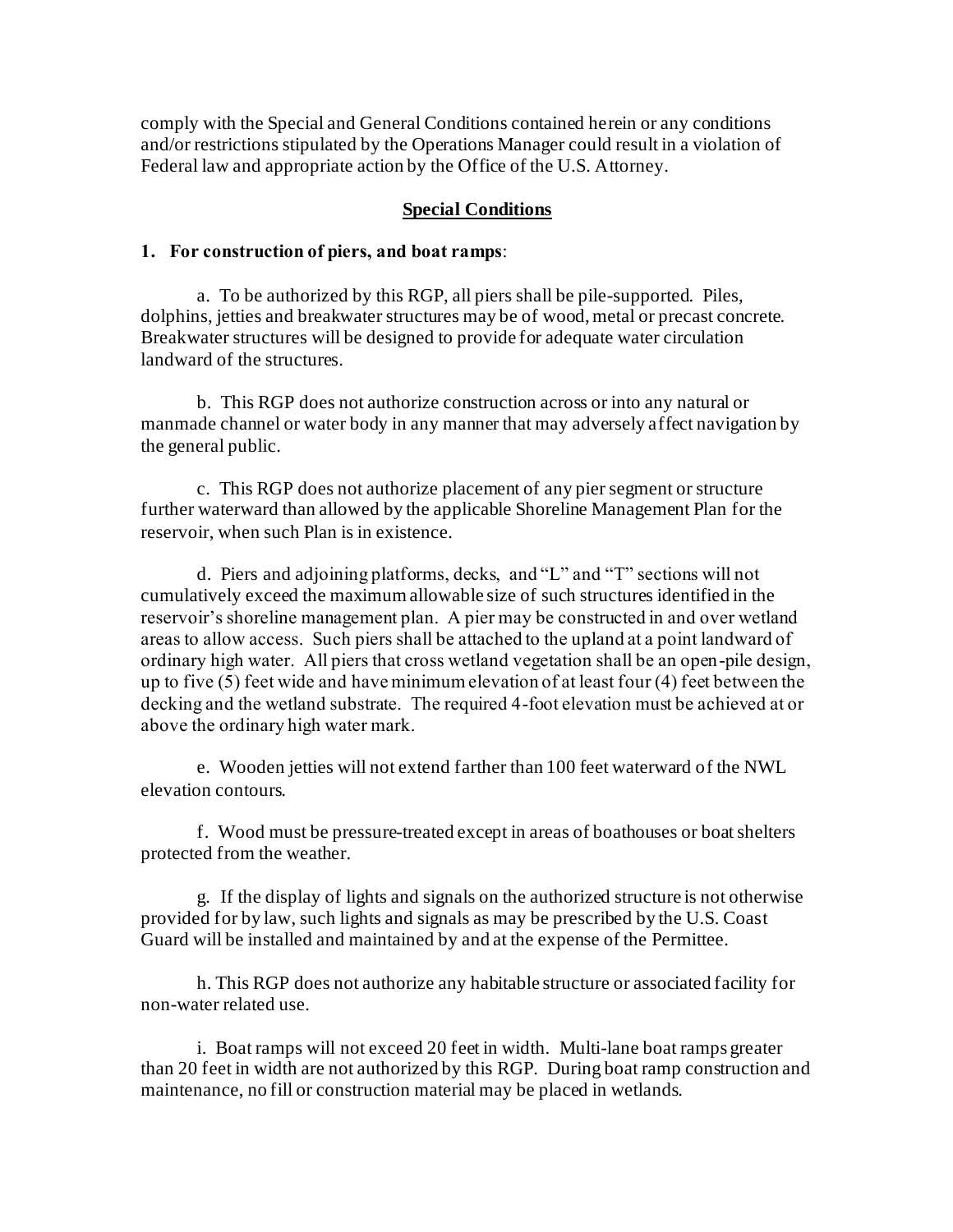comply with the Special and General Conditions contained herein or any conditions and/or restrictions stipulated by the Operations Manager could result in a violation of Federal law and appropriate action by the Office of the U.S. Attorney.

#### **Special Conditions**

#### **1. For construction of piers, and boat ramps**:

a. To be authorized by this RGP, all piers shall be pile-supported. Piles, dolphins, jetties and breakwater structures may be of wood, metal or precast concrete. Breakwater structures will be designed to provide for adequate water circulation landward of the structures.

b. This RGP does not authorize construction across or into any natural or manmade channel or water body in any manner that may adversely affect navigation by the general public.

c. This RGP does not authorize placement of any pier segment or structure further waterward than allowed by the applicable Shoreline Management Plan for the reservoir, when such Plan is in existence.

d. Piers and adjoining platforms, decks, and "L" and "T" sections will not cumulatively exceed the maximum allowable size of such structures identified in the reservoir's shoreline management plan. A pier may be constructed in and over wetland areas to allow access. Such piers shall be attached to the upland at a point landward of ordinary high water. All piers that cross wetland vegetation shall be an open-pile design, up to five (5) feet wide and have minimum elevation of at least four (4) feet between the decking and the wetland substrate. The required 4-foot elevation must be achieved at or above the ordinary high water mark.

e. Wooden jetties will not extend farther than 100 feet waterward of the NWL elevation contours.

f. Wood must be pressure-treated except in areas of boathouses or boat shelters protected from the weather.

g. If the display of lights and signals on the authorized structure is not otherwise provided for by law, such lights and signals as may be prescribed by the U.S. Coast Guard will be installed and maintained by and at the expense of the Permittee.

h. This RGP does not authorize any habitable structure or associated facility for non-water related use.

i. Boat ramps will not exceed 20 feet in width. Multi-lane boat ramps greater than 20 feet in width are not authorized by this RGP. During boat ramp construction and maintenance, no fill or construction material may be placed in wetlands.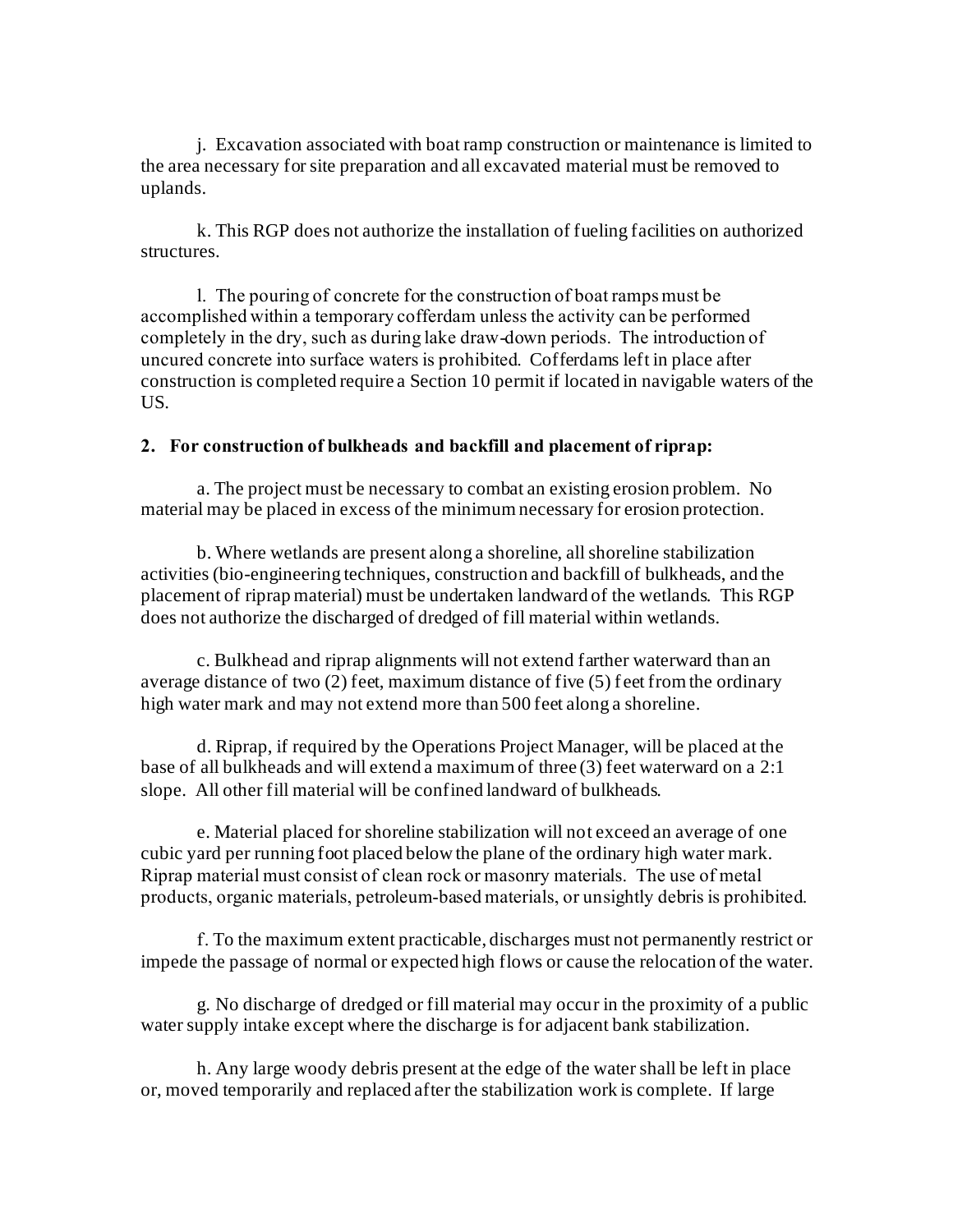j. Excavation associated with boat ramp construction or maintenance is limited to the area necessary for site preparation and all excavated material must be removed to uplands.

k. This RGP does not authorize the installation of fueling facilities on authorized structures.

l. The pouring of concrete for the construction of boat ramps must be accomplished within a temporary cofferdam unless the activity can be performed completely in the dry, such as during lake draw-down periods. The introduction of uncured concrete into surface waters is prohibited. Cofferdams left in place after construction is completed require a Section 10 permit if located in navigable waters of the US.

## **2. For construction of bulkheads and backfill and placement of riprap:**

a. The project must be necessary to combat an existing erosion problem. No material may be placed in excess of the minimum necessary for erosion protection.

b. Where wetlands are present along a shoreline, all shoreline stabilization activities (bio-engineering techniques, construction and backfill of bulkheads, and the placement of riprap material) must be undertaken landward of the wetlands. This RGP does not authorize the discharged of dredged of fill material within wetlands.

c. Bulkhead and riprap alignments will not extend farther waterward than an average distance of two (2) feet, maximum distance of five (5) f eet from the ordinary high water mark and may not extend more than 500 feet along a shoreline.

d. Riprap, if required by the Operations Project Manager, will be placed at the base of all bulkheads and will extend a maximum of three (3) feet waterward on a 2:1 slope. All other fill material will be confined landward of bulkheads.

e. Material placed for shoreline stabilization will not exceed an average of one cubic yard per running foot placed below the plane of the ordinary high water mark. Riprap material must consist of clean rock or masonry materials. The use of metal products, organic materials, petroleum-based materials, or unsightly debris is prohibited.

f. To the maximum extent practicable, discharges must not permanently restrict or impede the passage of normal or expected high flows or cause the relocation of the water.

g. No discharge of dredged or fill material may occur in the proximity of a public water supply intake except where the discharge is for adjacent bank stabilization.

h. Any large woody debris present at the edge of the water shall be left in place or, moved temporarily and replaced after the stabilization work is complete. If large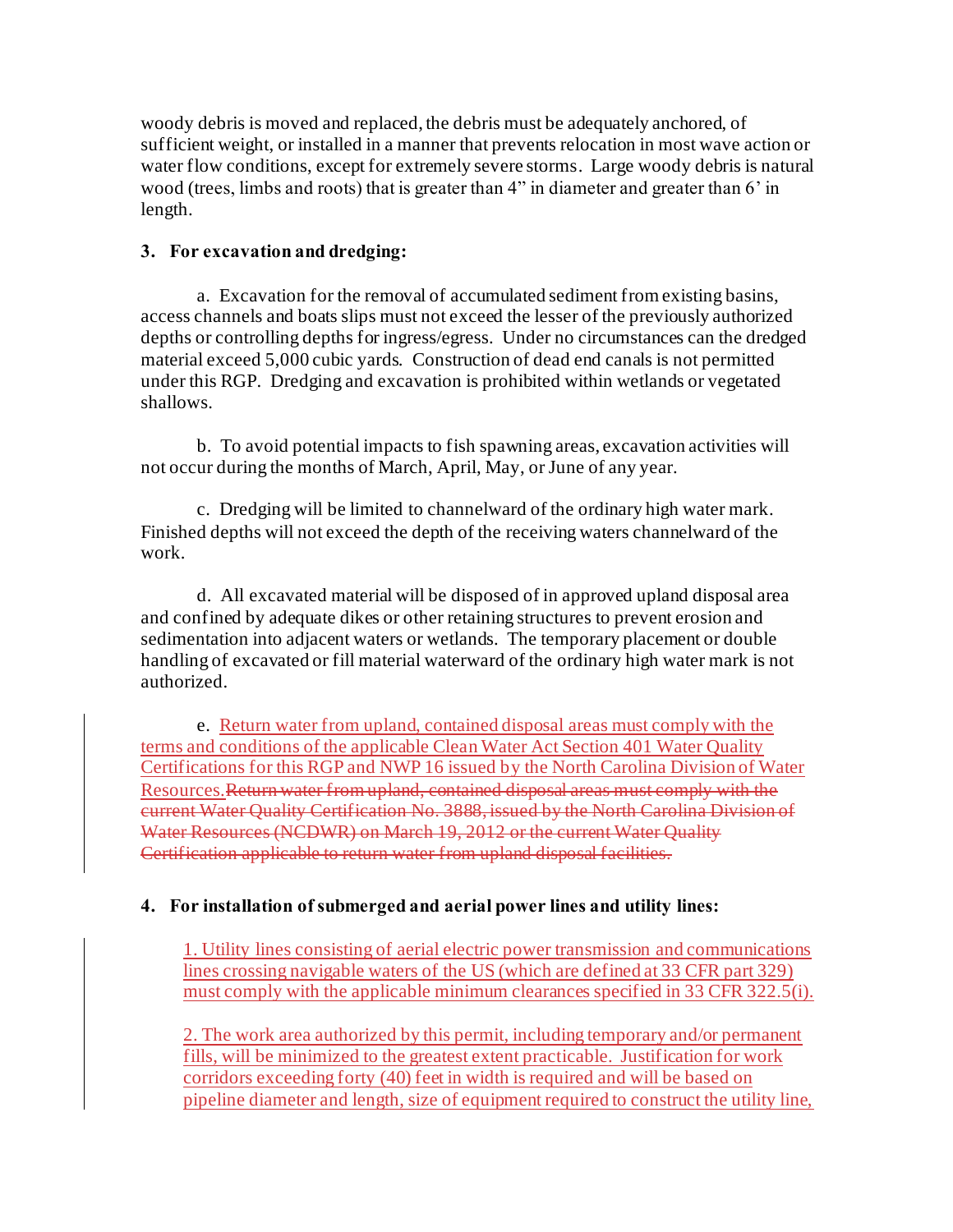woody debris is moved and replaced, the debris must be adequately anchored, of sufficient weight, or installed in a manner that prevents relocation in most wave action or water flow conditions, except for extremely severe storms. Large woody debris is natural wood (trees, limbs and roots) that is greater than 4" in diameter and greater than 6' in length.

## **3. For excavation and dredging:**

a. Excavation for the removal of accumulated sediment from existing basins, access channels and boats slips must not exceed the lesser of the previously authorized depths or controlling depths for ingress/egress. Under no circumstances can the dredged material exceed 5,000 cubic yards. Construction of dead end canals is not permitted under this RGP. Dredging and excavation is prohibited within wetlands or vegetated shallows.

b. To avoid potential impacts to fish spawning areas, excavation activities will not occur during the months of March, April, May, or June of any year.

c. Dredging will be limited to channelward of the ordinary high water mark. Finished depths will not exceed the depth of the receiving waters channelward of the work.

d. All excavated material will be disposed of in approved upland disposal area and confined by adequate dikes or other retaining structures to prevent erosion and sedimentation into adjacent waters or wetlands. The temporary placement or double handling of excavated or fill material waterward of the ordinary high water mark is not authorized.

e. Return water from upland, contained disposal areas must comply with the terms and conditions of the applicable Clean Water Act Section 401 Water Quality Certifications for this RGP and NWP 16 issued by the North Carolina Division of Water Resources.Return water from upland, contained disposal areas must comply with the current Water Quality Certification No. 3888, issued by the North Carolina Division of Water Resources (NCDWR) on March 19, 2012 or the current Water Quality Certification applicable to return water from upland disposal facilities.

# **4. For installation of submerged and aerial power lines and utility lines:**

1. Utility lines consisting of aerial electric power transmission and communications lines crossing navigable waters of the US (which are defined at 33 CFR part 329) must comply with the applicable minimum clearances specified in 33 CFR 322.5(i).

2. The work area authorized by this permit, including temporary and/or permanent fills, will be minimized to the greatest extent practicable. Justification for work corridors exceeding forty (40) feet in width is required and will be based on pipeline diameter and length, size of equipment required to construct the utility line,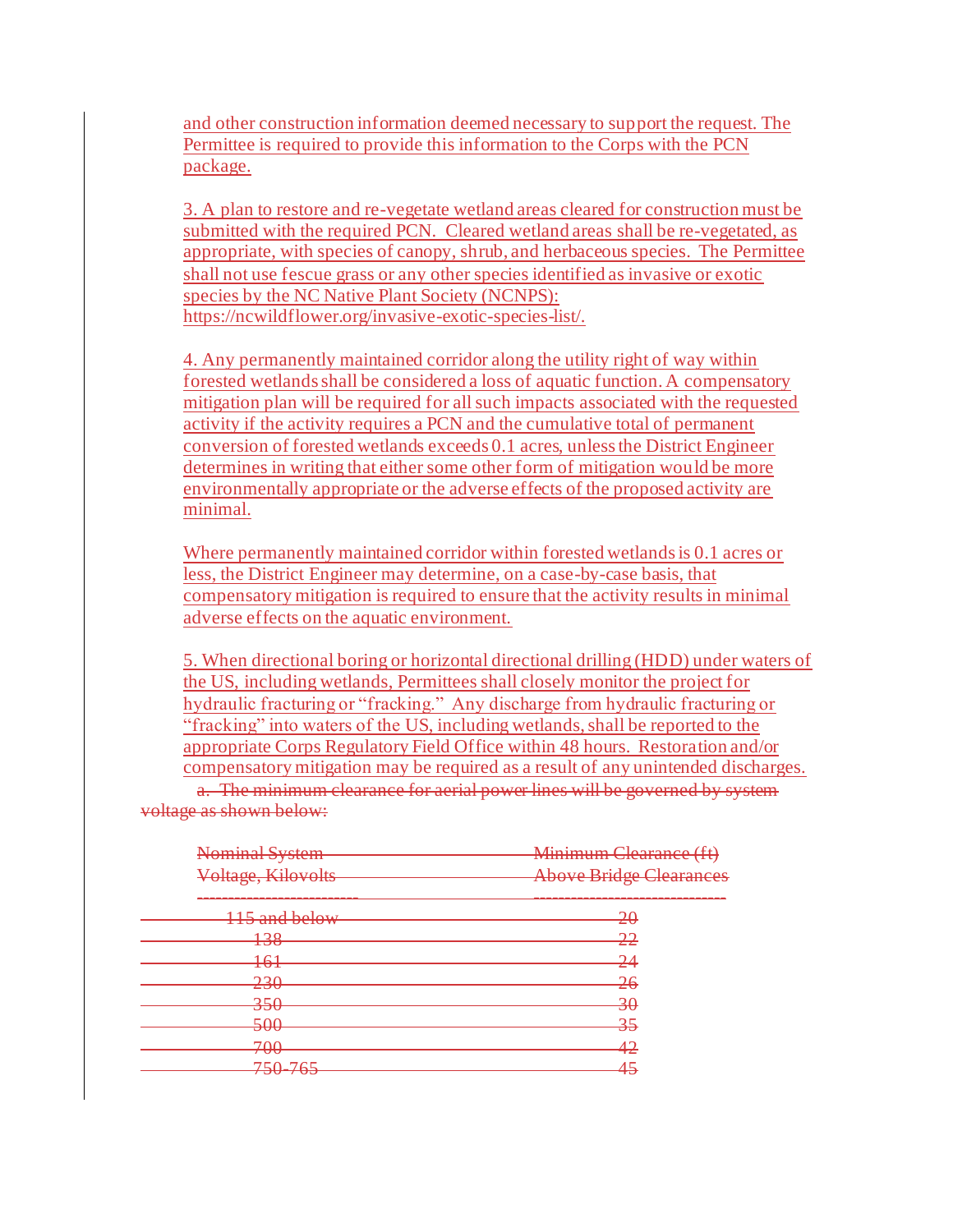and other construction information deemed necessary to support the request. The Permittee is required to provide this information to the Corps with the PCN package.

3. A plan to restore and re-vegetate wetland areas cleared for construction must be submitted with the required PCN. Cleared wetland areas shall be re-vegetated, as appropriate, with species of canopy, shrub, and herbaceous species. The Permittee shall not use fescue grass or any other species identified as invasive or exotic species by the NC Native Plant Society (NCNPS): <https://ncwildflower.org/invasive-exotic-species-list/>.

4. Any permanently maintained corridor along the utility right of way within forested wetlands shall be considered a loss of aquatic function. A compensatory mitigation plan will be required for all such impacts associated with the requested activity if the activity requires a PCN and the cumulative total of permanent conversion of forested wetlands exceeds 0.1 acres, unless the District Engineer determines in writing that either some other form of mitigation would be more environmentally appropriate or the adverse effects of the proposed activity are minimal.

Where permanently maintained corridor within forested wetlands is 0.1 acres or less, the District Engineer may determine, on a case-by-case basis, that compensatory mitigation is required to ensure that the activity results in minimal adverse effects on the aquatic environment.

5. When directional boring or horizontal directional drilling (HDD) under waters of the US, including wetlands, Permittees shall closely monitor the project for hydraulic fracturing or "fracking." Any discharge from hydraulic fracturing or "fracking" into waters of the US, including wetlands, shall be reported to the appropriate Corps Regulatory Field Office within 48 hours. Restoration and/or compensatory mitigation may be required as a result of any unintended discharges.

a. The minimum clearance for aerial power lines will be governed by system voltage as shown below:

| Nominal System     | Minimum Clearance (ft)         |
|--------------------|--------------------------------|
| Voltage, Kilovolts | <b>Above Bridge Clearances</b> |
| 115 and below      | $\overline{20}$                |
| 12Q<br>150         | <del>22</del>                  |
| 161                | 24                             |
| 230<br>$\sqrt{2}$  | <del>26</del>                  |
| 350<br>᠊ᠣᠣ         | $\overline{30}$                |
| 500<br>᠊ᠣᠣ         | 35                             |
| 700                | 42                             |
| ᠇᠊ᠣᠥ<br>750 765    | <u> 15</u>                     |
| 7 J J J J J        |                                |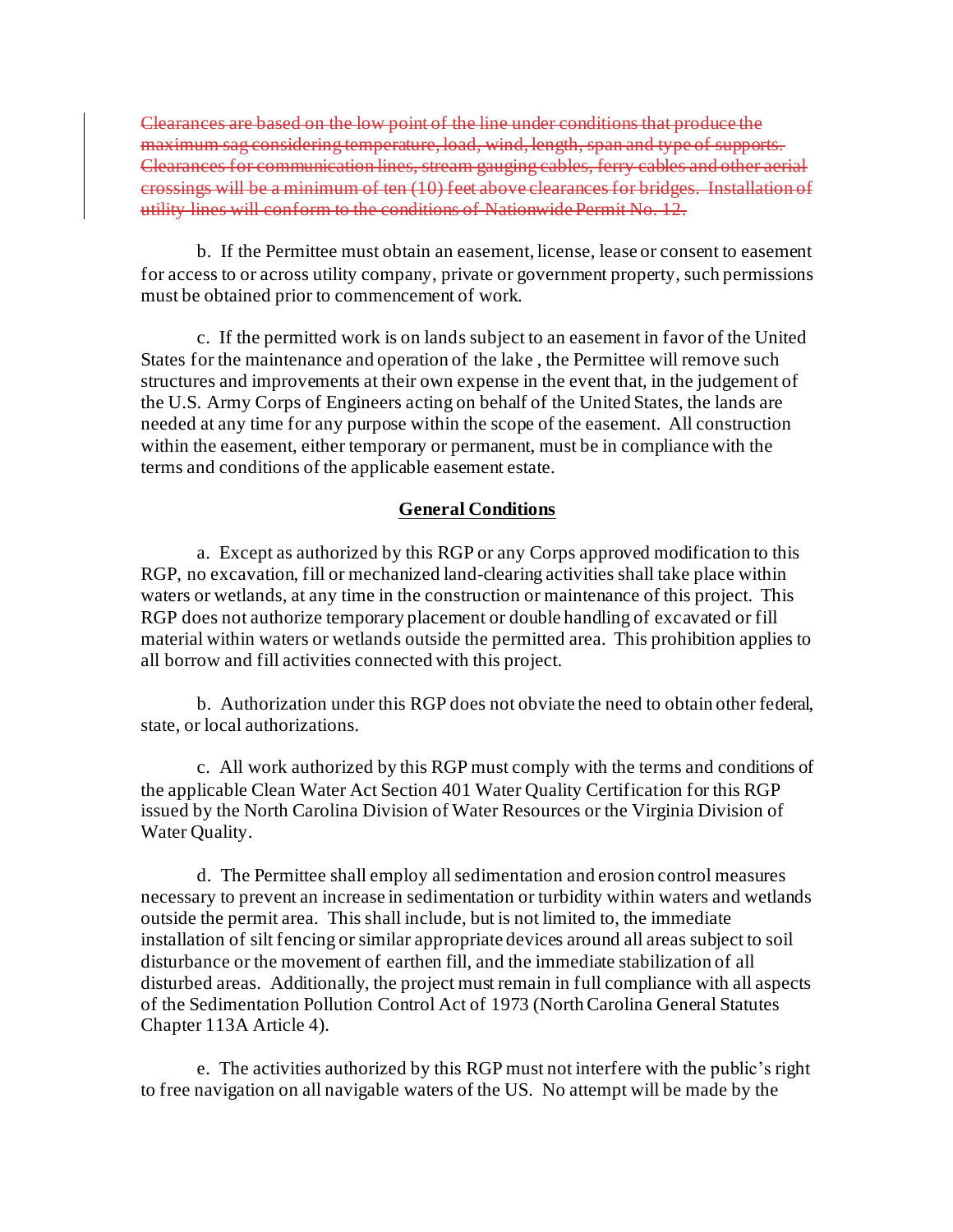Clearances are based on the low point of the line under conditions that produce the maximum sag considering temperature, load, wind, length, Clearances for communication lines, stream gauging cables, ferry cables es will be a minimum of ten (10) feet above clearances. conditions of Nationwide Permit

b. If the Permittee must obtain an easement, license, lease or consent to easement for access to or across utility company, private or government property, such permissions must be obtained prior to commencement of work.

c. If the permitted work is on lands subject to an easement in favor of the United States for the maintenance and operation of the lake , the Permittee will remove such structures and improvements at their own expense in the event that, in the judgement of the U.S. Army Corps of Engineers acting on behalf of the United States, the lands are needed at any time for any purpose within the scope of the easement. All construction within the easement, either temporary or permanent, must be in compliance with the terms and conditions of the applicable easement estate.

## **General Conditions**

a. Except as authorized by this RGP or any Corps approved modification to this RGP, no excavation, fill or mechanized land-clearing activities shall take place within waters or wetlands, at any time in the construction or maintenance of this project. This RGP does not authorize temporary placement or double handling of excavated or fill material within waters or wetlands outside the permitted area. This prohibition applies to all borrow and fill activities connected with this project.

b. Authorization under this RGP does not obviate the need to obtain other federal, state, or local authorizations.

c. All work authorized by this RGP must comply with the terms and conditions of the applicable Clean Water Act Section 401 Water Quality Certification for this RGP issued by the North Carolina Division of Water Resources or the Virginia Division of Water Quality.

d. The Permittee shall employ all sedimentation and erosion control measures necessary to prevent an increase in sedimentation or turbidity within waters and wetlands outside the permit area. This shall include, but is not limited to, the immediate installation of silt fencing or similar appropriate devices around all areas subject to soil disturbance or the movement of earthen fill, and the immediate stabilization of all disturbed areas. Additionally, the project must remain in full compliance with all aspects of the Sedimentation Pollution Control Act of 1973 (North Carolina General Statutes Chapter 113A Article 4).

e. The activities authorized by this RGP must not interfere with the public's right to free navigation on all navigable waters of the US. No attempt will be made by the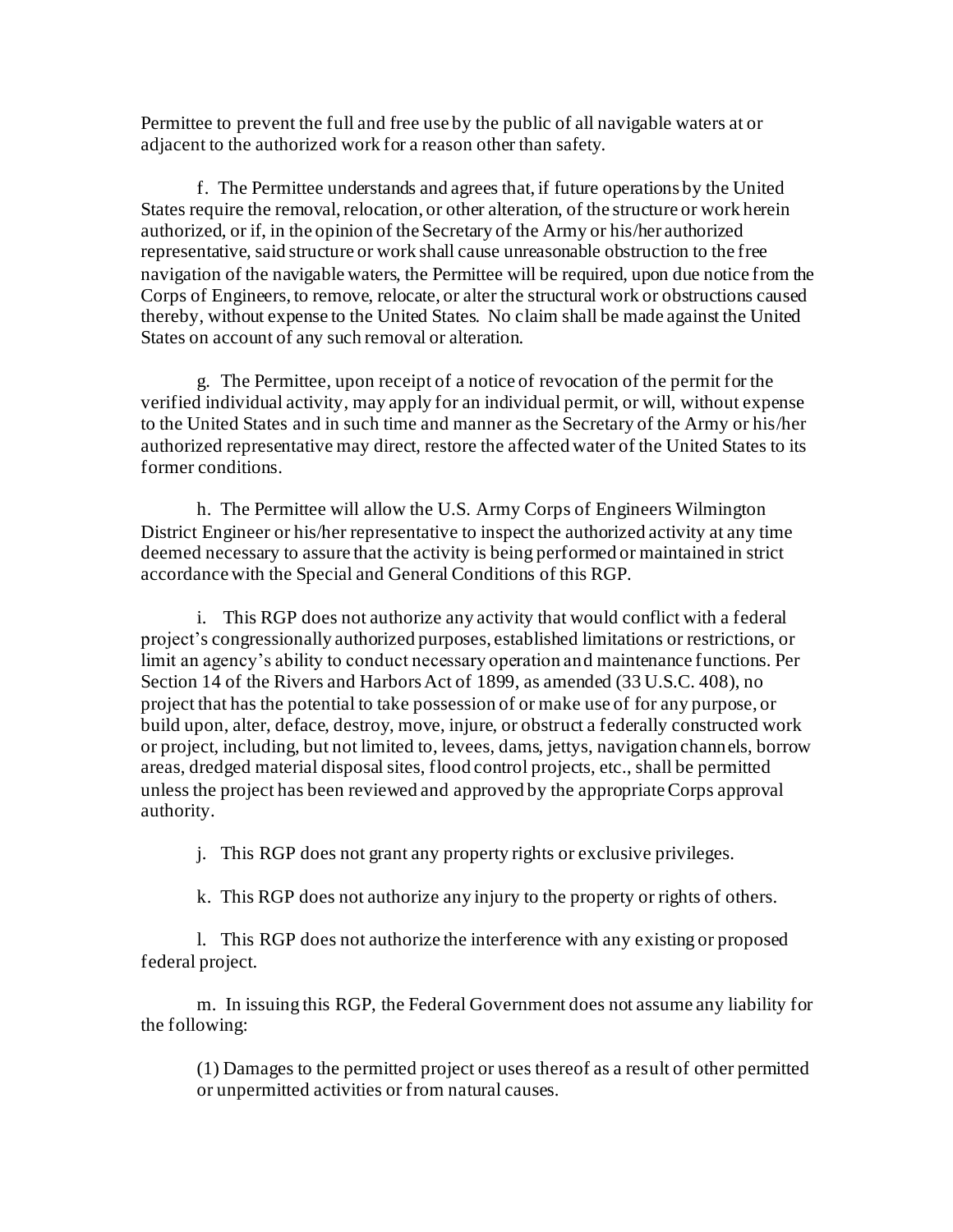Permittee to prevent the full and free use by the public of all navigable waters at or adjacent to the authorized work for a reason other than safety.

f. The Permittee understands and agrees that, if future operations by the United States require the removal, relocation, or other alteration, of the structure or work herein authorized, or if, in the opinion of the Secretary of the Army or his/her authorized representative, said structure or work shall cause unreasonable obstruction to the free navigation of the navigable waters, the Permittee will be required, upon due notice from the Corps of Engineers, to remove, relocate, or alter the structural work or obstructions caused thereby, without expense to the United States. No claim shall be made against the United States on account of any such removal or alteration.

g. The Permittee, upon receipt of a notice of revocation of the permit for the verified individual activity, may apply for an individual permit, or will, without expense to the United States and in such time and manner as the Secretary of the Army or his/her authorized representative may direct, restore the affected water of the United States to its former conditions.

h. The Permittee will allow the U.S. Army Corps of Engineers Wilmington District Engineer or his/her representative to inspect the authorized activity at any time deemed necessary to assure that the activity is being performed or maintained in strict accordance with the Special and General Conditions of this RGP.

i. This RGP does not authorize any activity that would conflict with a federal project's congressionally authorized purposes, established limitations or restrictions, or limit an agency's ability to conduct necessary operation and maintenance functions. Per Section 14 of the Rivers and Harbors Act of 1899, as amended (33 U.S.C. 408), no project that has the potential to take possession of or make use of for any purpose, or build upon, alter, deface, destroy, move, injure, or obstruct a federally constructed work or project, including, but not limited to, levees, dams, jettys, navigation channels, borrow areas, dredged material disposal sites, flood control projects, etc., shall be permitted unless the project has been reviewed and approved by the appropriate Corps approval authority.

j. This RGP does not grant any property rights or exclusive privileges.

k. This RGP does not authorize any injury to the property or rights of others.

l. This RGP does not authorize the interference with any existing or proposed federal project.

m. In issuing this RGP, the Federal Government does not assume any liability for the following:

(1) Damages to the permitted project or uses thereof as a result of other permitted or unpermitted activities or from natural causes.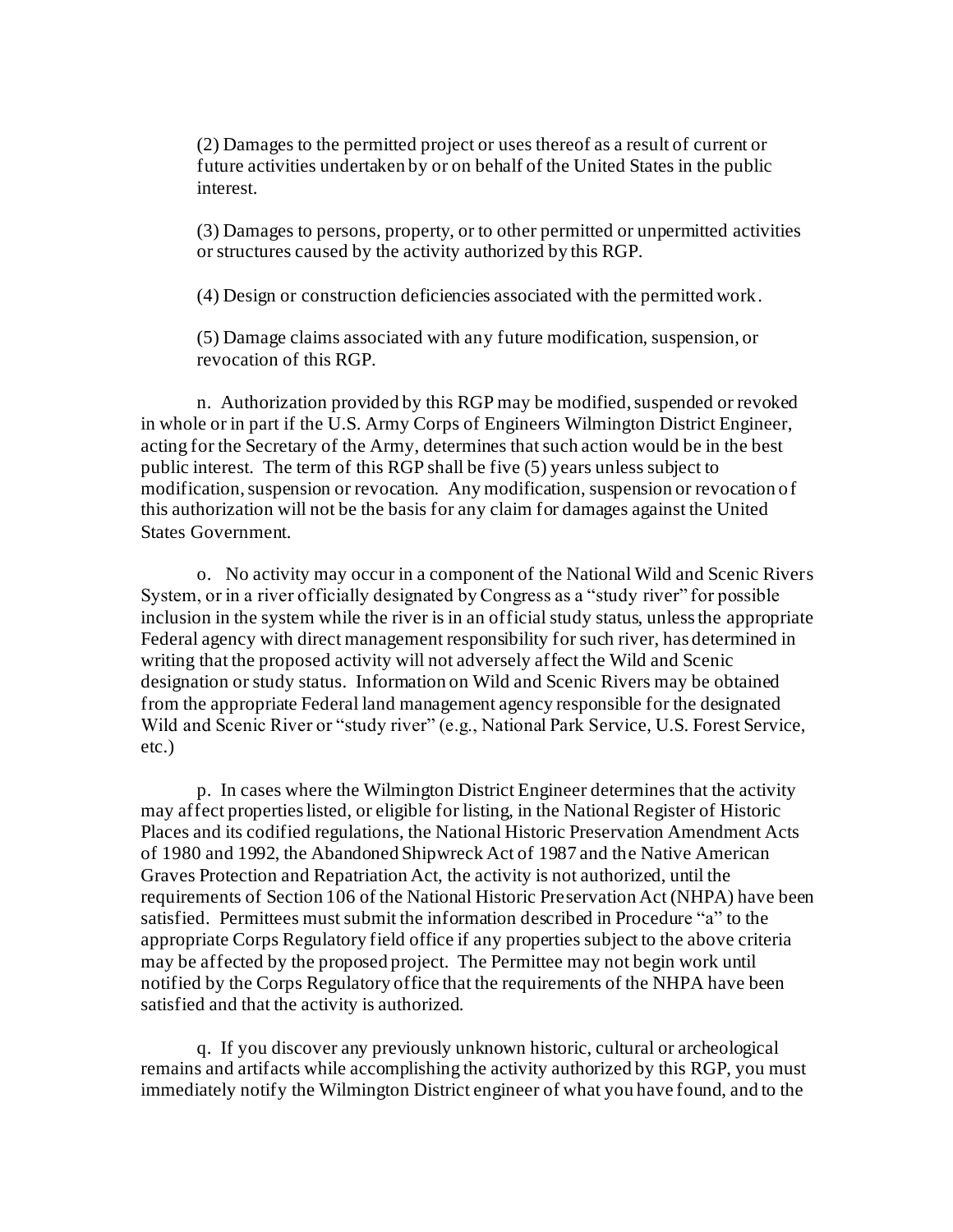(2) Damages to the permitted project or uses thereof as a result of current or future activities undertaken by or on behalf of the United States in the public interest.

(3) Damages to persons, property, or to other permitted or unpermitted activities or structures caused by the activity authorized by this RGP.

(4) Design or construction deficiencies associated with the permitted work.

(5) Damage claims associated with any future modification, suspension, or revocation of this RGP.

n. Authorization provided by this RGP may be modified, suspended or revoked in whole or in part if the U.S. Army Corps of Engineers Wilmington District Engineer, acting for the Secretary of the Army, determines that such action would be in the best public interest. The term of this RGP shall be five (5) years unless subject to modification, suspension or revocation. Any modification, suspension or revocation of this authorization will not be the basis for any claim for damages against the United States Government.

o. No activity may occur in a component of the National Wild and Scenic Rivers System, or in a river officially designated by Congress as a "study river" for possible inclusion in the system while the river is in an official study status, unless the appropriate Federal agency with direct management responsibility for such river, has determined in writing that the proposed activity will not adversely affect the Wild and Scenic designation or study status. Information on Wild and Scenic Rivers may be obtained from the appropriate Federal land management agency responsible for the designated Wild and Scenic River or "study river" (e.g., National Park Service, U.S. Forest Service, etc.)

p. In cases where the Wilmington District Engineer determines that the activity may affect properties listed, or eligible for listing, in the National Register of Historic Places and its codified regulations, the National Historic Preservation Amendment Acts of 1980 and 1992, the Abandoned Shipwreck Act of 1987 and the Native American Graves Protection and Repatriation Act, the activity is not authorized, until the requirements of Section 106 of the National Historic Preservation Act (NHPA) have been satisfied. Permittees must submit the information described in Procedure "a" to the appropriate Corps Regulatory field office if any properties subject to the above criteria may be affected by the proposed project. The Permittee may not begin work until notified by the Corps Regulatory office that the requirements of the NHPA have been satisfied and that the activity is authorized.

q. If you discover any previously unknown historic, cultural or archeological remains and artifacts while accomplishing the activity authorized by this RGP, you must immediately notify the Wilmington District engineer of what you have found, and to the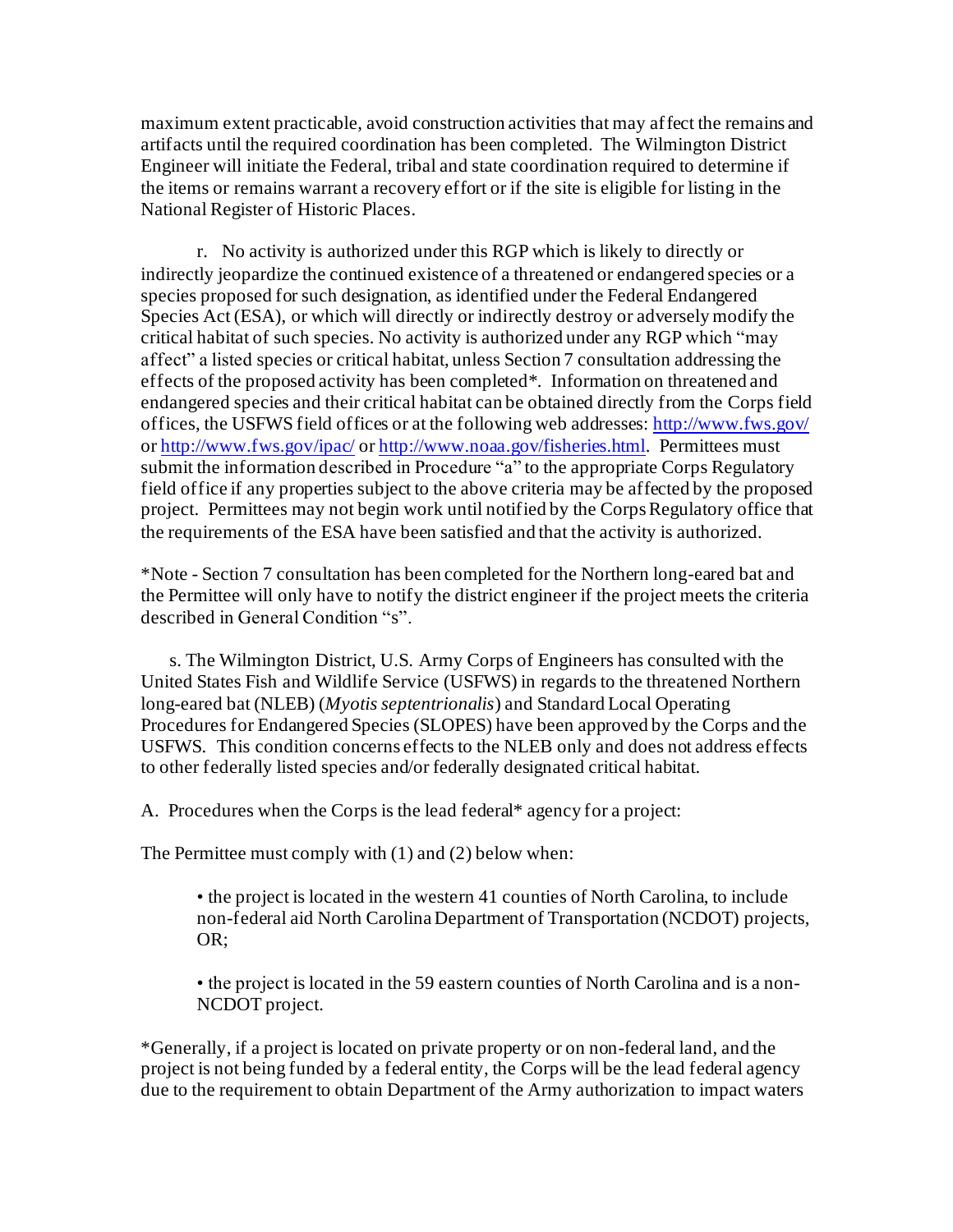maximum extent practicable, avoid construction activities that may affect the remains and artifacts until the required coordination has been completed. The Wilmington District Engineer will initiate the Federal, tribal and state coordination required to determine if the items or remains warrant a recovery effort or if the site is eligible for listing in the National Register of Historic Places.

r. No activity is authorized under this RGP which is likely to directly or indirectly jeopardize the continued existence of a threatened or endangered species or a species proposed for such designation, as identified under the Federal Endangered Species Act (ESA), or which will directly or indirectly destroy or adversely modify the critical habitat of such species. No activity is authorized under any RGP which "may affect" a listed species or critical habitat, unless Section 7 consultation addressing the effects of the proposed activity has been completed\*. Information on threatened and endangered species and their critical habitat can be obtained directly from the Corps field offices, the USFWS field offices or at the following web addresses[: http://www.fws.gov/](http://www.fws.gov/) or<http://www.fws.gov/ipac/> o[r http://www.noaa.gov/fisheries.html](http://www.noaa.gov/fisheries.html). Permittees must submit the information described in Procedure "a" to the appropriate Corps Regulatory field office if any properties subject to the above criteria may be affected by the proposed project. Permittees may not begin work until notified by the Corps Regulatory office that the requirements of the ESA have been satisfied and that the activity is authorized.

\*Note - Section 7 consultation has been completed for the Northern long-eared bat and the Permittee will only have to notify the district engineer if the project meets the criteria described in General Condition "s".

s. The Wilmington District, U.S. Army Corps of Engineers has consulted with the United States Fish and Wildlife Service (USFWS) in regards to the threatened Northern long-eared bat (NLEB) (*Myotis septentrionalis*) and Standard Local Operating Procedures for Endangered Species (SLOPES) have been approved by the Corps and the USFWS. This condition concerns effects to the NLEB only and does not address effects to other federally listed species and/or federally designated critical habitat.

A.Procedures when the Corps is the lead federal\* agency for a project:

The Permittee must comply with (1) and (2) below when:

• the project is located in the western 41 counties of North Carolina, to include non-federal aid North Carolina Department of Transportation (NCDOT) projects, OR;

• the project is located in the 59 eastern counties of North Carolina and is a non-NCDOT project.

\*Generally, if a project is located on private property or on non-federal land, and the project is not being funded by a federal entity, the Corps will be the lead federal agency due to the requirement to obtain Department of the Army authorization to impact waters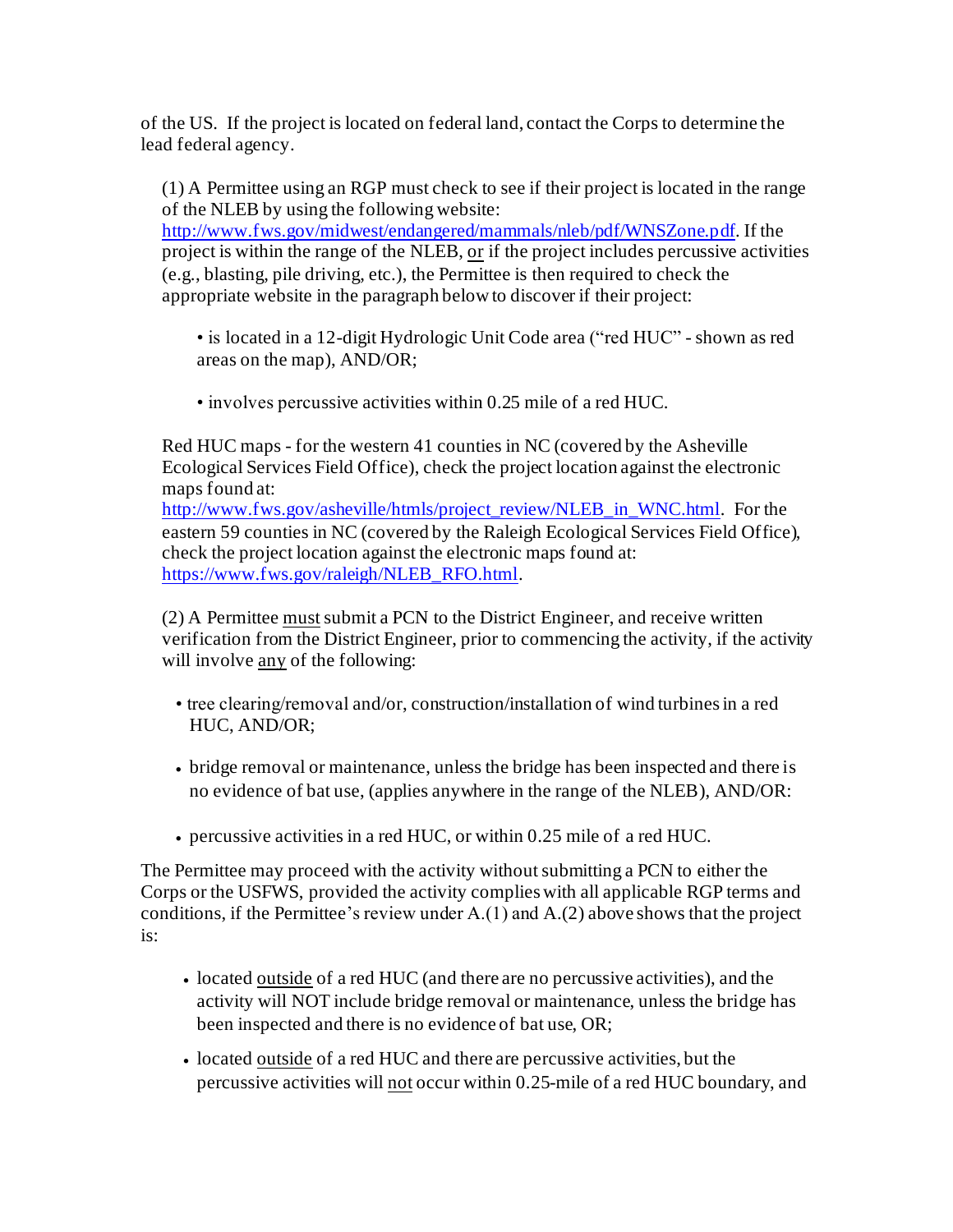of the US. If the project is located on federal land, contact the Corps to determine the lead federal agency.

(1) A Permittee using an RGP must check to see if their project is located in the range of the NLEB by using the following website:

<http://www.fws.gov/midwest/endangered/mammals/nleb/pdf/WNSZone.pdf>. If the project is within the range of the NLEB, or if the project includes percussive activities (e.g., blasting, pile driving, etc.), the Permittee is then required to check the appropriate website in the paragraph below to discover if their project:

- is located in a 12-digit Hydrologic Unit Code area ("red HUC" shown as red areas on the map), AND/OR;
- involves percussive activities within 0.25 mile of a red HUC.

Red HUC maps - for the western 41 counties in NC (covered by the Asheville Ecological Services Field Office), check the project location against the electronic maps found at:

[http://www.fws.gov/asheville/htmls/project\\_review/NLEB\\_in\\_WNC.html](http://www.fws.gov/asheville/htmls/project_review/NLEB_in_WNC.html). For the eastern 59 counties in NC (covered by the Raleigh Ecological Services Field Office), check the project location against the electronic maps found at: [https://www.fws.gov/raleigh/NLEB\\_RFO.html](https://www.fws.gov/raleigh/NLEB_RFO.html).

 $(2)$  A Permittee must submit a PCN to the District Engineer, and receive written verification from the District Engineer, prior to commencing the activity, if the activity will involve any of the following:

- tree clearing/removal and/or, construction/installation of wind turbines in a red HUC, AND/OR;
- bridge removal or maintenance, unless the bridge has been inspected and there is no evidence of bat use, (applies anywhere in the range of the NLEB), AND/OR:
- percussive activities in a red HUC, or within 0.25 mile of a red HUC.

The Permittee may proceed with the activity without submitting a PCN to either the Corps or the USFWS, provided the activity complies with all applicable RGP terms and conditions, if the Permittee's review under A.(1) and A.(2) above shows that the project is:

- located outside of a red HUC (and there are no percussive activities), and the activity will NOT include bridge removal or maintenance, unless the bridge has been inspected and there is no evidence of bat use, OR;
- located outside of a red HUC and there are percussive activities, but the percussive activities will not occur within 0.25-mile of a red HUC boundary, and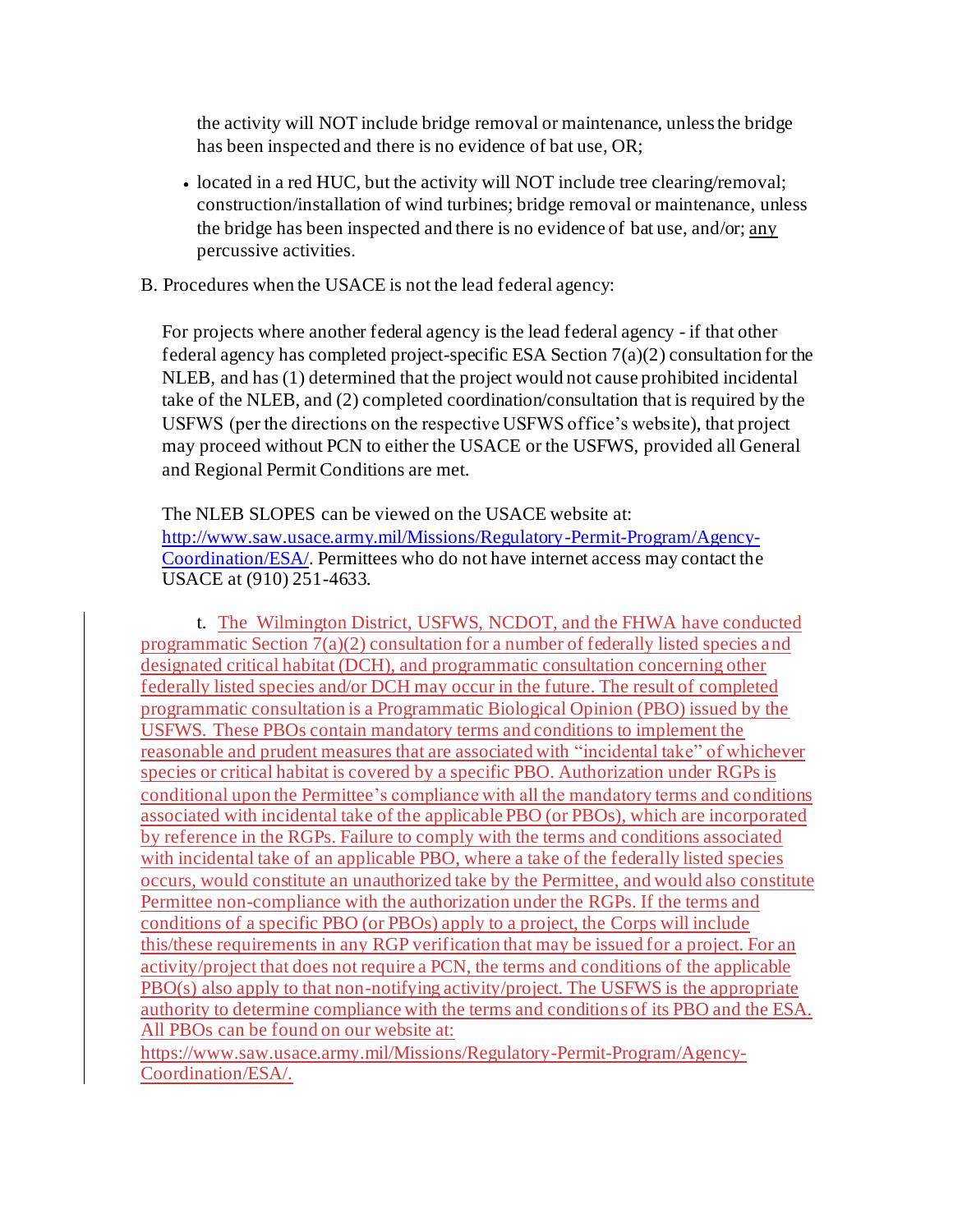the activity will NOT include bridge removal or maintenance, unless the bridge has been inspected and there is no evidence of bat use, OR;

- located in a red HUC, but the activity will NOT include tree clearing/removal; construction/installation of wind turbines; bridge removal or maintenance, unless the bridge has been inspected and there is no evidence of bat use, and/or; any percussive activities.
- B. Procedures when the USACE is not the lead federal agency:

For projects where another federal agency is the lead federal agency - if that other federal agency has completed project-specific ESA Section 7(a)(2) consultation for the NLEB, and has (1) determined that the project would not cause prohibited incidental take of the NLEB, and (2) completed coordination/consultation that is required by the USFWS (per the directions on the respective USFWS office's website), that project may proceed without PCN to either the USACE or the USFWS, provided all General and Regional Permit Conditions are met.

The NLEB SLOPES can be viewed on the USACE website at: [http://www.saw.usace.army.mil/Missions/Regulatory-Permit-Program/Agency-](http://www.saw.usace.army.mil/Missions/Regulatory-Permit-Program/Agency-Coordination/ESA/)[Coordination/ESA/](http://www.saw.usace.army.mil/Missions/Regulatory-Permit-Program/Agency-Coordination/ESA/). Permittees who do not have internet access may contact the USACE at (910) 251-4633.

t. The Wilmington District, USFWS, NCDOT, and the FHWA have conducted programmatic Section 7(a)(2) consultation for a number of federally listed species and designated critical habitat (DCH), and programmatic consultation concerning other federally listed species and/or DCH may occur in the future. The result of completed programmatic consultation is a Programmatic Biological Opinion (PBO) issued by the USFWS. These PBOs contain mandatory terms and conditions to implement the reasonable and prudent measures that are associated with "incidental take" of whichever species or critical habitat is covered by a specific PBO. Authorization under RGPs is conditional upon the Permittee's compliance with all the mandatory terms and conditions associated with incidental take of the applicable PBO (or PBOs), which are incorporated by reference in the RGPs. Failure to comply with the terms and conditions associated with incidental take of an applicable PBO, where a take of the federally listed species occurs, would constitute an unauthorized take by the Permittee, and would also constitute Permittee non-compliance with the authorization under the RGPs. If the terms and conditions of a specific PBO (or PBOs) apply to a project, the Corps will include this/these requirements in any RGP verification that may be issued for a project. For an activity/project that does not require a PCN, the terms and conditions of the applicable PBO(s) also apply to that non-notifying activity/project. The USFWS is the appropriate authority to determine compliance with the terms and conditions of its PBO and the ESA. All PBOs can be found on our website at:

https://www.saw.usace.army.mil/Missions/Regulatory-Permit-Program/Agency-Coordination/ESA/.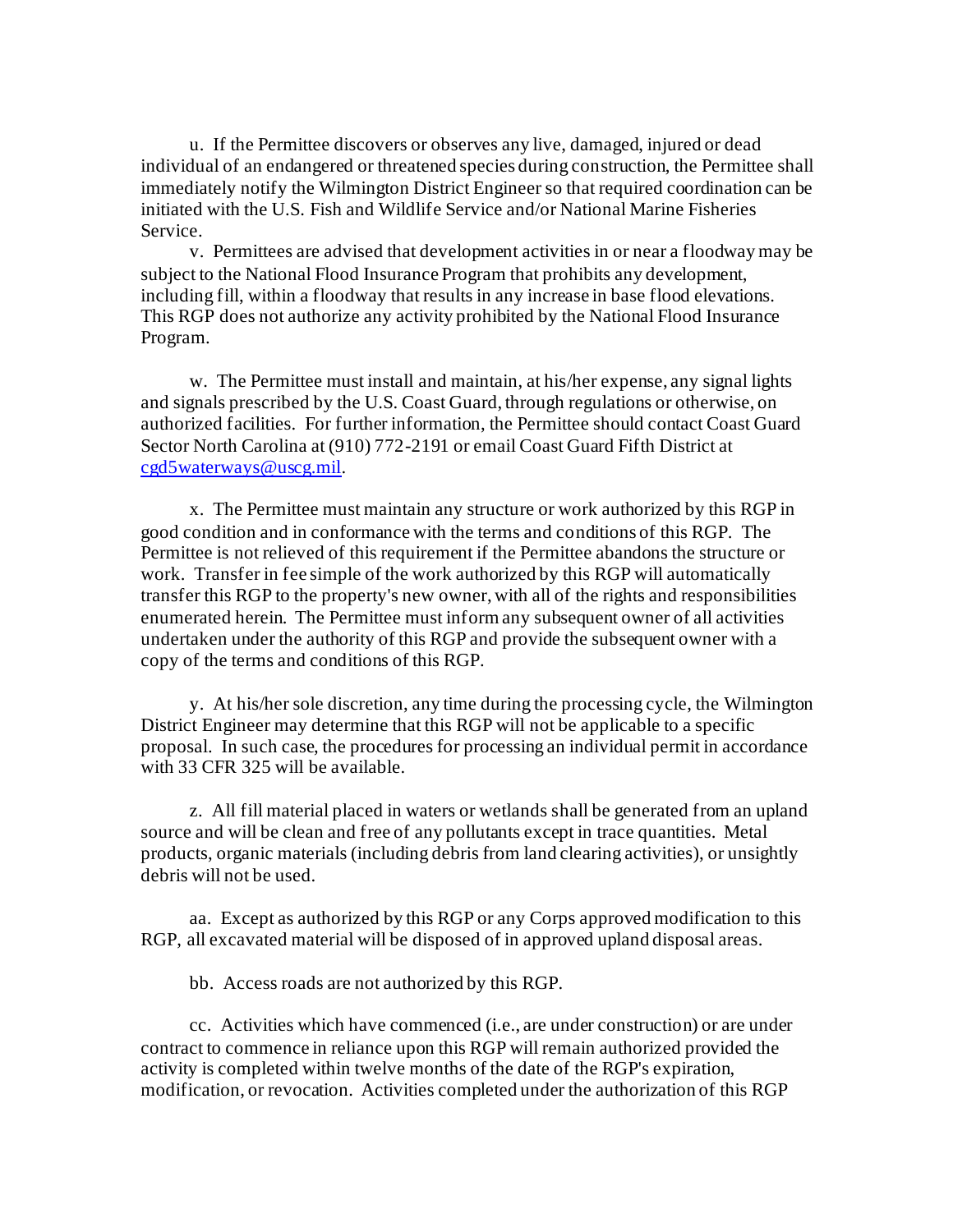u. If the Permittee discovers or observes any live, damaged, injured or dead individual of an endangered or threatened species during construction, the Permittee shall immediately notify the Wilmington District Engineer so that required coordination can be initiated with the U.S. Fish and Wildlife Service and/or National Marine Fisheries Service.

v. Permittees are advised that development activities in or near a floodway may be subject to the National Flood Insurance Program that prohibits any development, including fill, within a floodway that results in any increase in base flood elevations. This RGP does not authorize any activity prohibited by the National Flood Insurance Program.

w. The Permittee must install and maintain, at his/her expense, any signal lights and signals prescribed by the U.S. Coast Guard, through regulations or otherwise, on authorized facilities. For further information, the Permittee should contact Coast Guard Sector North Carolina at (910) 772-2191 or email Coast Guard Fifth District at [cgd5waterways@uscg.mil](mailto:cgd5waterways@uscg.mil).

x. The Permittee must maintain any structure or work authorized by this RGP in good condition and in conformance with the terms and conditions of this RGP. The Permittee is not relieved of this requirement if the Permittee abandons the structure or work. Transfer in fee simple of the work authorized by this RGP will automatically transfer this RGP to the property's new owner, with all of the rights and responsibilities enumerated herein. The Permittee must inform any subsequent owner of all activities undertaken under the authority of this RGP and provide the subsequent owner with a copy of the terms and conditions of this RGP.

y. At his/her sole discretion, any time during the processing cycle, the Wilmington District Engineer may determine that this RGP will not be applicable to a specific proposal. In such case, the procedures for processing an individual permit in accordance with 33 CFR 325 will be available.

z. All fill material placed in waters or wetlands shall be generated from an upland source and will be clean and free of any pollutants except in trace quantities. Metal products, organic materials (including debris from land clearing activities), or unsightly debris will not be used.

aa. Except as authorized by this RGP or any Corps approved modification to this RGP, all excavated material will be disposed of in approved upland disposal areas.

bb. Access roads are not authorized by this RGP.

 cc. Activities which have commenced (i.e., are under construction) or are under contract to commence in reliance upon this RGP will remain authorized provided the activity is completed within twelve months of the date of the RGP's expiration, modification, or revocation. Activities completed under the authorization of this RGP